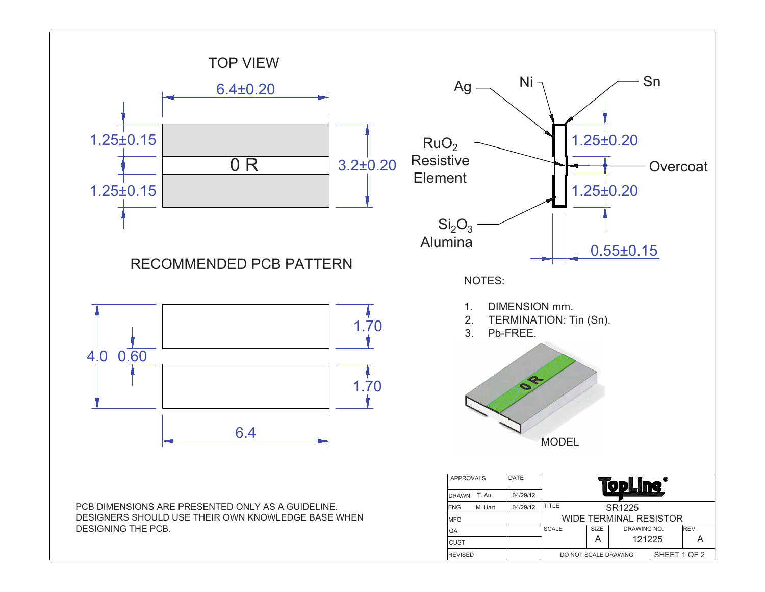